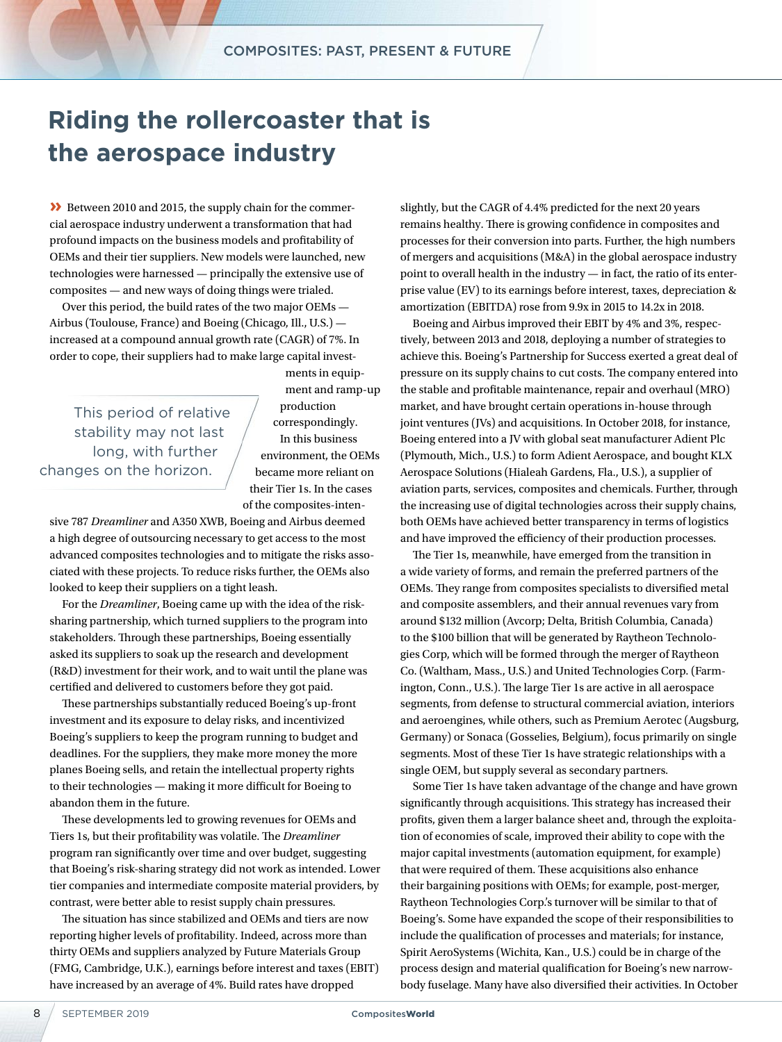## **Riding the rollercoaster that is the aerospace industry**

**»** Between 2010 and 2015, the supply chain for the commercial aerospace industry underwent a transformation that had profound impacts on the business models and profitability of OEMs and their tier suppliers. New models were launched, new technologies were harnessed — principally the extensive use of composites — and new ways of doing things were trialed.

Over this period, the build rates of the two major OEMs — Airbus (Toulouse, France) and Boeing (Chicago, Ill., U.S.) increased at a compound annual growth rate (CAGR) of 7%. In order to cope, their suppliers had to make large capital invest-

This period of relative stability may not last long, with further changes on the horizon.

ments in equipment and ramp-up production correspondingly. In this business environment, the OEMs became more reliant on their Tier 1s. In the cases of the composites-inten-

sive 787 *Dreamliner* and A350 XWB, Boeing and Airbus deemed a high degree of outsourcing necessary to get access to the most advanced composites technologies and to mitigate the risks associated with these projects. To reduce risks further, the OEMs also looked to keep their suppliers on a tight leash.

For the *Dreamliner*, Boeing came up with the idea of the risksharing partnership, which turned suppliers to the program into stakeholders. Through these partnerships, Boeing essentially asked its suppliers to soak up the research and development (R&D) investment for their work, and to wait until the plane was certified and delivered to customers before they got paid.

These partnerships substantially reduced Boeing's up-front investment and its exposure to delay risks, and incentivized Boeing's suppliers to keep the program running to budget and deadlines. For the suppliers, they make more money the more planes Boeing sells, and retain the intellectual property rights to their technologies — making it more difficult for Boeing to abandon them in the future.

These developments led to growing revenues for OEMs and Tiers 1s, but their profitability was volatile. The *Dreamliner* program ran significantly over time and over budget, suggesting that Boeing's risk-sharing strategy did not work as intended. Lower tier companies and intermediate composite material providers, by contrast, were better able to resist supply chain pressures.

The situation has since stabilized and OEMs and tiers are now reporting higher levels of profitability. Indeed, across more than thirty OEMs and suppliers analyzed by Future Materials Group (FMG, Cambridge, U.K.), earnings before interest and taxes (EBIT) have increased by an average of 4%. Build rates have dropped

slightly, but the CAGR of 4.4% predicted for the next 20 years remains healthy. There is growing confidence in composites and processes for their conversion into parts. Further, the high numbers of mergers and acquisitions (M&A) in the global aerospace industry point to overall health in the industry — in fact, the ratio of its enterprise value (EV) to its earnings before interest, taxes, depreciation & amortization (EBITDA) rose from 9.9x in 2015 to 14.2x in 2018.

Boeing and Airbus improved their EBIT by 4% and 3%, respectively, between 2013 and 2018, deploying a number of strategies to achieve this. Boeing's Partnership for Success exerted a great deal of pressure on its supply chains to cut costs. The company entered into the stable and profitable maintenance, repair and overhaul (MRO) market, and have brought certain operations in-house through joint ventures (JVs) and acquisitions. In October 2018, for instance, Boeing entered into a JV with global seat manufacturer Adient Plc (Plymouth, Mich., U.S.) to form Adient Aerospace, and bought KLX Aerospace Solutions (Hialeah Gardens, Fla., U.S.), a supplier of aviation parts, services, composites and chemicals. Further, through the increasing use of digital technologies across their supply chains, both OEMs have achieved better transparency in terms of logistics and have improved the efficiency of their production processes.

The Tier 1s, meanwhile, have emerged from the transition in a wide variety of forms, and remain the preferred partners of the OEMs. They range from composites specialists to diversified metal and composite assemblers, and their annual revenues vary from around \$132 million (Avcorp; Delta, British Columbia, Canada) to the \$100 billion that will be generated by Raytheon Technologies Corp, which will be formed through the merger of Raytheon Co. (Waltham, Mass., U.S.) and United Technologies Corp. (Farmington, Conn., U.S.). The large Tier 1s are active in all aerospace segments, from defense to structural commercial aviation, interiors and aeroengines, while others, such as Premium Aerotec (Augsburg, Germany) or Sonaca (Gosselies, Belgium), focus primarily on single segments. Most of these Tier 1s have strategic relationships with a single OEM, but supply several as secondary partners.

Some Tier 1s have taken advantage of the change and have grown significantly through acquisitions. This strategy has increased their profits, given them a larger balance sheet and, through the exploitation of economies of scale, improved their ability to cope with the major capital investments (automation equipment, for example) that were required of them. These acquisitions also enhance their bargaining positions with OEMs; for example, post-merger, Raytheon Technologies Corp.'s turnover will be similar to that of Boeing's. Some have expanded the scope of their responsibilities to include the qualification of processes and materials; for instance, Spirit AeroSystems (Wichita, Kan., U.S.) could be in charge of the process design and material qualification for Boeing's new narrowbody fuselage. Many have also diversified their activities. In October